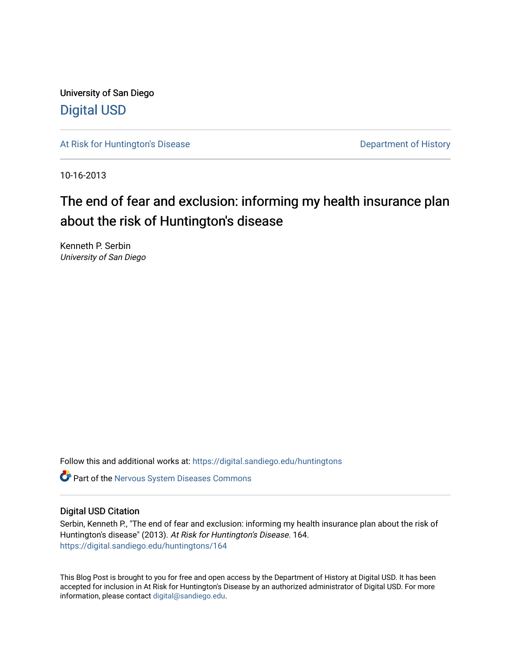University of San Diego [Digital USD](https://digital.sandiego.edu/)

[At Risk for Huntington's Disease](https://digital.sandiego.edu/huntingtons) **Department of History** Department of History

10-16-2013

# The end of fear and exclusion: informing my health insurance plan about the risk of Huntington's disease

Kenneth P. Serbin University of San Diego

Follow this and additional works at: [https://digital.sandiego.edu/huntingtons](https://digital.sandiego.edu/huntingtons?utm_source=digital.sandiego.edu%2Fhuntingtons%2F164&utm_medium=PDF&utm_campaign=PDFCoverPages)

**C** Part of the [Nervous System Diseases Commons](http://network.bepress.com/hgg/discipline/928?utm_source=digital.sandiego.edu%2Fhuntingtons%2F164&utm_medium=PDF&utm_campaign=PDFCoverPages)

# Digital USD Citation

Serbin, Kenneth P., "The end of fear and exclusion: informing my health insurance plan about the risk of Huntington's disease" (2013). At Risk for Huntington's Disease. 164. [https://digital.sandiego.edu/huntingtons/164](https://digital.sandiego.edu/huntingtons/164?utm_source=digital.sandiego.edu%2Fhuntingtons%2F164&utm_medium=PDF&utm_campaign=PDFCoverPages)

This Blog Post is brought to you for free and open access by the Department of History at Digital USD. It has been accepted for inclusion in At Risk for Huntington's Disease by an authorized administrator of Digital USD. For more information, please contact [digital@sandiego.edu.](mailto:digital@sandiego.edu)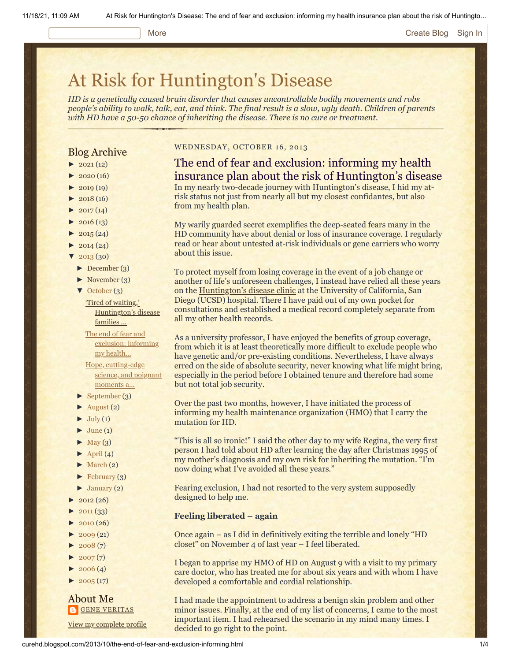#### More **[Create Blog](https://www.blogger.com/home#create) [Sign In](https://www.blogger.com/)**

# [At Risk for Huntington's Disease](http://curehd.blogspot.com/)

*HD is a genetically caused brain disorder that causes uncontrollable bodily movements and robs people's ability to walk, talk, eat, and think. The final result is a slow, ugly death. Children of parents with HD have a 50-50 chance of inheriting the disease. There is no cure or treatment.*

# Blog Archive

- $\blacktriangleright$  [2021](http://curehd.blogspot.com/2021/) (12)
- $2020(16)$  $2020(16)$
- $\blacktriangleright$  [2019](http://curehd.blogspot.com/2019/) (19)
- $\blacktriangleright$  [2018](http://curehd.blogspot.com/2018/) (16)
- $2017(14)$  $2017(14)$
- $2016(13)$  $2016(13)$
- $\blacktriangleright$  [2015](http://curehd.blogspot.com/2015/) (24)
- $\blacktriangleright$  [2014](http://curehd.blogspot.com/2014/) (24)
- [▼](javascript:void(0)) [2013](http://curehd.blogspot.com/2013/) (30)
- [►](javascript:void(0)) [December](http://curehd.blogspot.com/2013/12/) (3)
- [►](javascript:void(0)) [November](http://curehd.blogspot.com/2013/11/) (3)
- [▼](javascript:void(0)) [October](http://curehd.blogspot.com/2013/10/) (3)

'Tired of waiting,' [Huntington's](http://curehd.blogspot.com/2013/10/tired-of-waiting-huntingtons-disease.html) disease families ...

The end of fear and [exclusion:](http://curehd.blogspot.com/2013/10/the-end-of-fear-and-exclusion-informing.html) informing my health... Hope, [cutting-edge](http://curehd.blogspot.com/2013/10/hope-cutting-edge-science-and-poignant.html) science, and poignant moments a...

- [►](javascript:void(0)) [September](http://curehd.blogspot.com/2013/09/) (3)
- $\blacktriangleright$  [August](http://curehd.blogspot.com/2013/08/) (2)
- $\blacktriangleright$  [July](http://curehd.blogspot.com/2013/07/) (1)
- $\blacktriangleright$  [June](http://curehd.blogspot.com/2013/06/) (1)
- $\blacktriangleright$  [May](http://curehd.blogspot.com/2013/05/) (3)
- $\blacktriangleright$  [April](http://curehd.blogspot.com/2013/04/) (4)
- $\blacktriangleright$  [March](http://curehd.blogspot.com/2013/03/) (2)
- $\blacktriangleright$  [February](http://curehd.blogspot.com/2013/02/) (3)
- $\blacktriangleright$  [January](http://curehd.blogspot.com/2013/01/) (2)
- $\blacktriangleright$  [2012](http://curehd.blogspot.com/2012/) (26)
- $2011(33)$  $2011(33)$
- $2010(26)$  $2010(26)$
- $-2009(21)$  $-2009(21)$  $-2009(21)$
- $2008(7)$  $2008(7)$
- $2007(7)$  $2007(7)$
- $\blacktriangleright$  [2006](http://curehd.blogspot.com/2006/) (4)
- $\blacktriangleright$  [2005](http://curehd.blogspot.com/2005/) (17)

#### About Me **GENE [VERITAS](https://www.blogger.com/profile/10911736205741688185)**

View my [complete](https://www.blogger.com/profile/10911736205741688185) profile

#### WEDNESDAY, OCTOBER 16, 2013

# The end of fear and exclusion: informing my health insurance plan about the risk of Huntington's disease In my nearly two-decade journey with Huntington's disease, I hid my atrisk status not just from nearly all but my closest confidantes, but also from my health plan.

My warily guarded secret exemplifies the deep-seated fears many in the HD community have about denial or loss of insurance coverage. I regularly read or hear about untested at-risk individuals or gene carriers who worry about this issue.

To protect myself from losing coverage in the event of a job change or another of life's unforeseen challenges, I instead have relied all these years on the [Huntington's disease clinic](http://www.hdsa.org/sdch/ucsd-center-of-excellence.html) at the University of California, San Diego (UCSD) hospital. There I have paid out of my own pocket for consultations and established a medical record completely separate from all my other health records.

As a university professor, I have enjoyed the benefits of group coverage, from which it is at least theoretically more difficult to exclude people who have genetic and/or pre-existing conditions. Nevertheless, I have always erred on the side of absolute security, never knowing what life might bring, especially in the period before I obtained tenure and therefore had some but not total job security.

Over the past two months, however, I have initiated the process of informing my health maintenance organization (HMO) that I carry the mutation for HD.

"This is all so ironic!" I said the other day to my wife Regina, the very first person I had told about HD after learning the day after Christmas 1995 of my mother's diagnosis and my own risk for inheriting the mutation. "I'm now doing what I've avoided all these years."

Fearing exclusion, I had not resorted to the very system supposedly designed to help me.

#### **Feeling liberated – again**

Once again – as I did in definitively exiting the terrible and lonely "HD closet" on November 4 of last year – I feel liberated.

I began to apprise my HMO of HD on August 9 with a visit to my primary care doctor, who has treated me for about six years and with whom I have developed a comfortable and cordial relationship.

I had made the appointment to address a benign skin problem and other minor issues. Finally, at the end of my list of concerns, I came to the most important item. I had rehearsed the scenario in my mind many times. I decided to go right to the point.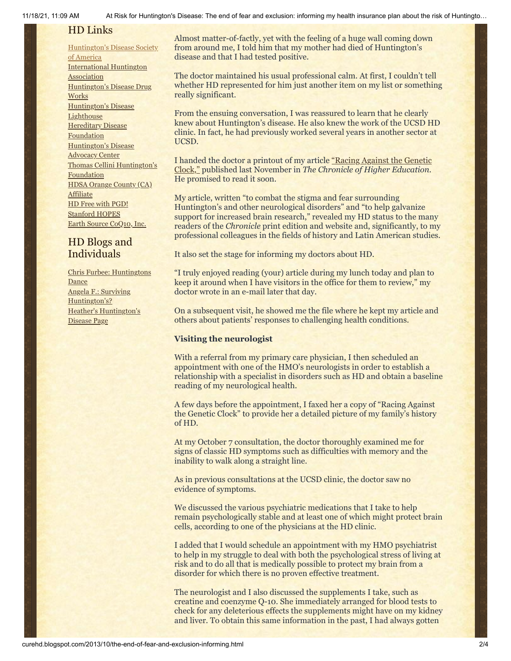# HD Links

[Huntington's](http://www.hdsa.org/) Disease Society of America [International](http://www.huntington-assoc.com/) Huntington **Association** [Huntington's](http://hddrugworks.org/) Disease Drug **Works** [Huntington's](http://www.hdlighthouse.org/) Disease **Lighthouse Hereditary Disease [Foundation](http://www.hdfoundation.org/)** [Huntington's](http://www.hdac.org/) Disease Advocacy Center Thomas [Cellini Huntington's](http://www.ourtchfoundation.org/) **Foundation** HDSA Orange County (CA) **[Affiliate](http://www.hdsaoc.org/)** HD Free with [PGD!](http://www.hdfreewithpgd.com/) [Stanford](http://www.stanford.edu/group/hopes/) HOPES Earth Source [CoQ10,](http://www.escoq10.com/) Inc.

# HD Blogs and Individuals

Chris Furbee: [Huntingtons](http://www.huntingtonsdance.org/) Dance Angela F.: Surviving [Huntington's?](http://survivinghuntingtons.blogspot.com/) Heather's [Huntington's](http://heatherdugdale.angelfire.com/) Disease Page

Almost matter-of-factly, yet with the feeling of a huge wall coming down from around me, I told him that my mother had died of Huntington's disease and that I had tested positive.

The doctor maintained his usual professional calm. At first, I couldn't tell whether HD represented for him just another item on my list or something really significant.

From the ensuing conversation, I was reassured to learn that he clearly knew about Huntington's disease. He also knew the work of the UCSD HD clinic. In fact, he had previously worked several years in another sector at UCSD.

[I handed the doctor a printout of my article "Racing Against the Genetic](http://chronicle.com/article/Racing-Against-the-Genetic/135542/) Clock," published last November in *The Chronicle of Higher Education*. He promised to read it soon.

My article, written "to combat the stigma and fear surrounding Huntington's and other neurological disorders" and "to help galvanize support for increased brain research," revealed my HD status to the many readers of the *Chronicle* print edition and website and, significantly, to my professional colleagues in the fields of history and Latin American studies.

It also set the stage for informing my doctors about HD.

"I truly enjoyed reading (your) article during my lunch today and plan to keep it around when I have visitors in the office for them to review," my doctor wrote in an e-mail later that day.

On a subsequent visit, he showed me the file where he kept my article and others about patients' responses to challenging health conditions.

### **Visiting the neurologist**

With a referral from my primary care physician, I then scheduled an appointment with one of the HMO's neurologists in order to establish a relationship with a specialist in disorders such as HD and obtain a baseline reading of my neurological health.

A few days before the appointment, I faxed her a copy of "Racing Against the Genetic Clock" to provide her a detailed picture of my family's history of HD.

At my October 7 consultation, the doctor thoroughly examined me for signs of classic HD symptoms such as difficulties with memory and the inability to walk along a straight line.

As in previous consultations at the UCSD clinic, the doctor saw no evidence of symptoms.

We discussed the various psychiatric medications that I take to help remain psychologically stable and at least one of which might protect brain cells, according to one of the physicians at the HD clinic.

I added that I would schedule an appointment with my HMO psychiatrist to help in my struggle to deal with both the psychological stress of living at risk and to do all that is medically possible to protect my brain from a disorder for which there is no proven effective treatment.

The neurologist and I also discussed the supplements I take, such as creatine and coenzyme Q-10. She immediately arranged for blood tests to check for any deleterious effects the supplements might have on my kidney and liver. To obtain this same information in the past, I had always gotten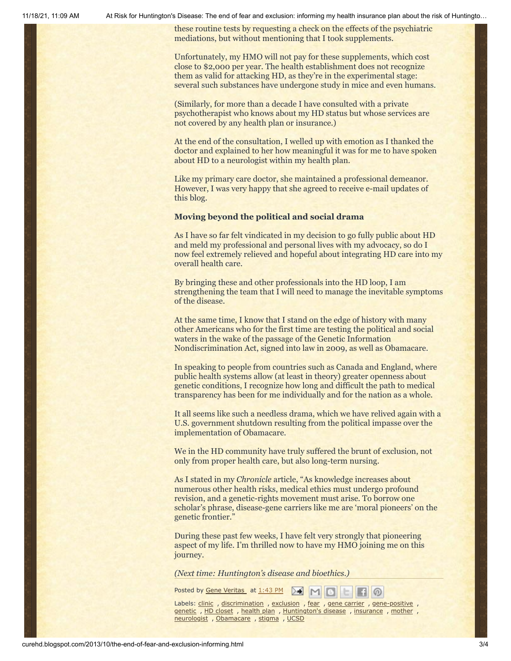11/18/21, 11:09 AM At Risk for Huntington's Disease: The end of fear and exclusion: informing my health insurance plan about the risk of Huntingto…

these routine tests by requesting a check on the effects of the psychiatric mediations, but without mentioning that I took supplements.

Unfortunately, my HMO will not pay for these supplements, which cost close to \$2,000 per year. The health establishment does not recognize them as valid for attacking HD, as they're in the experimental stage: several such substances have undergone study in mice and even humans.

(Similarly, for more than a decade I have consulted with a private psychotherapist who knows about my HD status but whose services are not covered by any health plan or insurance.)

At the end of the consultation, I welled up with emotion as I thanked the doctor and explained to her how meaningful it was for me to have spoken about HD to a neurologist within my health plan.

Like my primary care doctor, she maintained a professional demeanor. However, I was very happy that she agreed to receive e-mail updates of this blog.

#### **Moving beyond the political and social drama**

As I have so far felt vindicated in my decision to go fully public about HD and meld my professional and personal lives with my advocacy, so do I now feel extremely relieved and hopeful about integrating HD care into my overall health care.

By bringing these and other professionals into the HD loop, I am strengthening the team that I will need to manage the inevitable symptoms of the disease.

At the same time, I know that I stand on the edge of history with many other Americans who for the first time are testing the political and social waters in the wake of the passage of the Genetic Information Nondiscrimination Act, signed into law in 2009, as well as Obamacare.

In speaking to people from countries such as Canada and England, where public health systems allow (at least in theory) greater openness about genetic conditions, I recognize how long and difficult the path to medical transparency has been for me individually and for the nation as a whole.

It all seems like such a needless drama, which we have relived again with a U.S. government shutdown resulting from the political impasse over the implementation of Obamacare.

We in the HD community have truly suffered the brunt of exclusion, not only from proper health care, but also long-term nursing.

As I stated in my *Chronicle* article, "As knowledge increases about numerous other health risks, medical ethics must undergo profound revision, and a genetic-rights movement must arise. To borrow one scholar's phrase, disease-gene carriers like me are 'moral pioneers' on the genetic frontier."

During these past few weeks, I have felt very strongly that pioneering aspect of my life. I'm thrilled now to have my HMO joining me on this journey.

*(Next time: Huntington's disease and bioethics.)*

Posted by Gene [Veritas](https://www.blogger.com/profile/03599828959793084715) at [1:43](http://curehd.blogspot.com/2013/10/the-end-of-fear-and-exclusion-informing.html) PM  $\Delta$  M  $\Box$ 

Labels: [clinic](http://curehd.blogspot.com/search/label/clinic) , [discrimination](http://curehd.blogspot.com/search/label/discrimination) , [exclusion](http://curehd.blogspot.com/search/label/exclusion) , [fear](http://curehd.blogspot.com/search/label/fear) , gene [carrier](http://curehd.blogspot.com/search/label/gene%20carrier) , [gene-positive](http://curehd.blogspot.com/search/label/gene-positive) , [genetic](http://curehd.blogspot.com/search/label/genetic) , HD [closet](http://curehd.blogspot.com/search/label/HD%20closet) , [health](http://curehd.blogspot.com/search/label/health%20plan) plan , [Huntington's](http://curehd.blogspot.com/search/label/Huntington%27s%20disease) disease , [insurance](http://curehd.blogspot.com/search/label/insurance) , [mother](http://curehd.blogspot.com/search/label/mother) , [neurologist](http://curehd.blogspot.com/search/label/neurologist), [Obamacare](http://curehd.blogspot.com/search/label/Obamacare), [stigma](http://curehd.blogspot.com/search/label/stigma), [UCSD](http://curehd.blogspot.com/search/label/UCSD)

**HO**